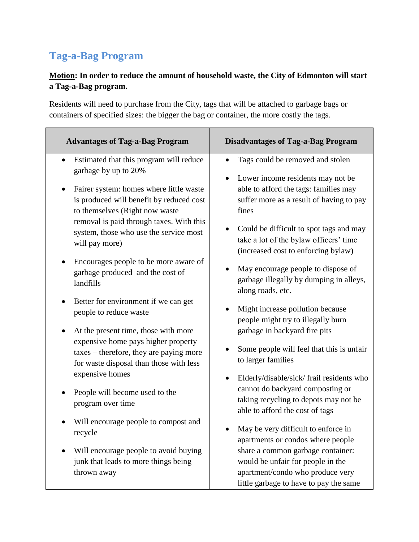## **Tag-a-Bag Program**

## **Motion: In order to reduce the amount of household waste, the City of Edmonton will start a Tag-a-Bag program.**

Residents will need to purchase from the City, tags that will be attached to garbage bags or containers of specified sizes: the bigger the bag or container, the more costly the tags.

| <b>Advantages of Tag-a-Bag Program</b>                                                                                                                            | <b>Disadvantages of Tag-a-Bag Program</b>                                                                                                                 |
|-------------------------------------------------------------------------------------------------------------------------------------------------------------------|-----------------------------------------------------------------------------------------------------------------------------------------------------------|
| Estimated that this program will reduce<br>garbage by up to 20%                                                                                                   | Tags could be removed and stolen<br>Lower income residents may not be<br>$\bullet$                                                                        |
| Fairer system: homes where little waste                                                                                                                           | able to afford the tags: families may                                                                                                                     |
| is produced will benefit by reduced cost                                                                                                                          | suffer more as a result of having to pay                                                                                                                  |
| to themselves (Right now waste                                                                                                                                    | fines                                                                                                                                                     |
| removal is paid through taxes. With this                                                                                                                          | Could be difficult to spot tags and may                                                                                                                   |
| system, those who use the service most                                                                                                                            | take a lot of the bylaw officers' time                                                                                                                    |
| will pay more)                                                                                                                                                    | (increased cost to enforcing bylaw)                                                                                                                       |
| Encourages people to be more aware of                                                                                                                             | May encourage people to dispose of                                                                                                                        |
| garbage produced and the cost of                                                                                                                                  | garbage illegally by dumping in alleys,                                                                                                                   |
| landfills                                                                                                                                                         | along roads, etc.                                                                                                                                         |
| Better for environment if we can get                                                                                                                              | Might increase pollution because                                                                                                                          |
| people to reduce waste                                                                                                                                            | people might try to illegally burn                                                                                                                        |
| At the present time, those with more<br>expensive home pays higher property<br>taxes – therefore, they are paying more<br>for waste disposal than those with less | garbage in backyard fire pits<br>Some people will feel that this is unfair<br>to larger families                                                          |
| expensive homes<br>People will become used to the<br>program over time                                                                                            | Elderly/disable/sick/ frail residents who<br>cannot do backyard composting or<br>taking recycling to depots may not be<br>able to afford the cost of tags |
| Will encourage people to compost and                                                                                                                              | May be very difficult to enforce in                                                                                                                       |
| recycle                                                                                                                                                           | apartments or condos where people                                                                                                                         |
| Will encourage people to avoid buying<br>junk that leads to more things being<br>thrown away                                                                      | share a common garbage container:<br>would be unfair for people in the<br>apartment/condo who produce very<br>little garbage to have to pay the same      |